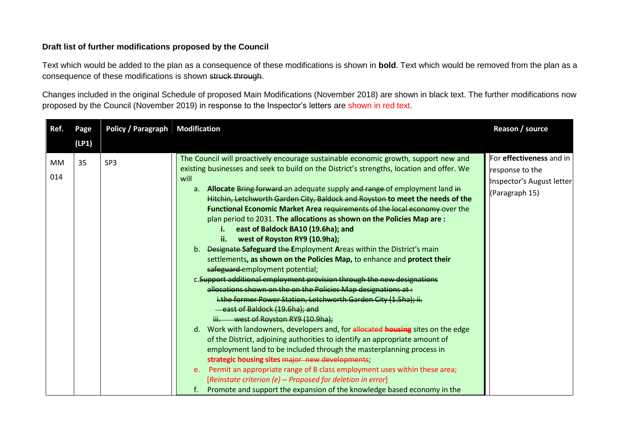## **Draft list of further modifications proposed by the Council**

Text which would be added to the plan as a consequence of these modifications is shown in **bold**. Text which would be removed from the plan as a consequence of these modifications is shown struck through.

Changes included in the original Schedule of proposed Main Modifications (November 2018) are shown in black text. The further modifications now proposed by the Council (November 2019) in response to the Inspector's letters are shown in red text.

| Ref.      | Page  | Policy / Paragraph | <b>Modification</b>                                                                                                                                                                                                                                                                                                                                                                                                                                                                                                                                                                                                                                                                                                                                                                                                                                                                                                                                                                                                                                                                                                                                                                                                                                                                                                                                                                                                                                                                                                                                                                                  | Reason / source                                                                            |
|-----------|-------|--------------------|------------------------------------------------------------------------------------------------------------------------------------------------------------------------------------------------------------------------------------------------------------------------------------------------------------------------------------------------------------------------------------------------------------------------------------------------------------------------------------------------------------------------------------------------------------------------------------------------------------------------------------------------------------------------------------------------------------------------------------------------------------------------------------------------------------------------------------------------------------------------------------------------------------------------------------------------------------------------------------------------------------------------------------------------------------------------------------------------------------------------------------------------------------------------------------------------------------------------------------------------------------------------------------------------------------------------------------------------------------------------------------------------------------------------------------------------------------------------------------------------------------------------------------------------------------------------------------------------------|--------------------------------------------------------------------------------------------|
|           | (LP1) |                    |                                                                                                                                                                                                                                                                                                                                                                                                                                                                                                                                                                                                                                                                                                                                                                                                                                                                                                                                                                                                                                                                                                                                                                                                                                                                                                                                                                                                                                                                                                                                                                                                      |                                                                                            |
| MМ<br>014 | 35    | SP <sub>3</sub>    | The Council will proactively encourage sustainable economic growth, support new and<br>existing businesses and seek to build on the District's strengths, location and offer. We<br>will<br>a. Allocate Bring forward an adequate supply and range of employment land in<br>Hitchin, Letchworth Garden City, Baldock and Royston to meet the needs of the<br>Functional Economic Market Area requirements of the local economy over the<br>plan period to 2031. The allocations as shown on the Policies Map are:<br>east of Baldock BA10 (19.6ha); and<br>west of Royston RY9 (10.9ha);<br>ii.<br>b. Designate-Safeguard the Employment Areas within the District's main<br>settlements, as shown on the Policies Map, to enhance and protect their<br>safeguard employment potential;<br>c. Support additional employment provision through the new designations<br>allocations shown on the on the Policies Map designations at:<br>i.the former Power Station, Letchworth Garden City (1.5ha); ii.<br>east of Baldock (19.6ha); and<br>iii. west of Royston RY9 (10.9ha);<br>d. Work with landowners, developers and, for allocated housing sites on the edge<br>of the District, adjoining authorities to identify an appropriate amount of<br>employment land to be included through the masterplanning process in<br>strategic housing sites major new developments;<br>e. Permit an appropriate range of B class employment uses within these area;<br>[Reinstate criterion (e) - Proposed for deletion in error]<br>Promote and support the expansion of the knowledge based economy in the | For effectiveness and in<br>response to the<br>Inspector's August letter<br>(Paragraph 15) |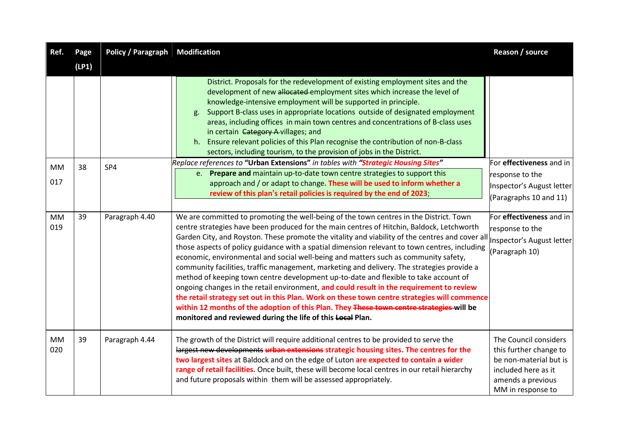| Ref.      | Page  | Policy / Paragraph | <b>Modification</b>                                                                                                                                                                                                                                                                                                                                                                                                                                                                                                                                                                                                                                                                                                                                                                                                                                                                                                                                                                                                        | Reason / source                                                                                                                            |
|-----------|-------|--------------------|----------------------------------------------------------------------------------------------------------------------------------------------------------------------------------------------------------------------------------------------------------------------------------------------------------------------------------------------------------------------------------------------------------------------------------------------------------------------------------------------------------------------------------------------------------------------------------------------------------------------------------------------------------------------------------------------------------------------------------------------------------------------------------------------------------------------------------------------------------------------------------------------------------------------------------------------------------------------------------------------------------------------------|--------------------------------------------------------------------------------------------------------------------------------------------|
|           | (LP1) |                    |                                                                                                                                                                                                                                                                                                                                                                                                                                                                                                                                                                                                                                                                                                                                                                                                                                                                                                                                                                                                                            |                                                                                                                                            |
| MM        | 38    | SP4                | District. Proposals for the redevelopment of existing employment sites and the<br>development of new allocated employment sites which increase the level of<br>knowledge-intensive employment will be supported in principle.<br>Support B-class uses in appropriate locations outside of designated employment<br>g.<br>areas, including offices in main town centres and concentrations of B-class uses<br>in certain Category A villages; and<br>h. Ensure relevant policies of this Plan recognise the contribution of non-B-class<br>sectors, including tourism, to the provision of jobs in the District.<br>Replace references to "Urban Extensions" in tables with "Strategic Housing Sites"                                                                                                                                                                                                                                                                                                                       | For effectiveness and in                                                                                                                   |
| 017       |       |                    | e. Prepare and maintain up-to-date town centre strategies to support this                                                                                                                                                                                                                                                                                                                                                                                                                                                                                                                                                                                                                                                                                                                                                                                                                                                                                                                                                  | response to the                                                                                                                            |
|           |       |                    | approach and / or adapt to change. These will be used to inform whether a<br>review of this plan's retail policies is required by the end of 2023;                                                                                                                                                                                                                                                                                                                                                                                                                                                                                                                                                                                                                                                                                                                                                                                                                                                                         | Inspector's August letter                                                                                                                  |
|           |       |                    |                                                                                                                                                                                                                                                                                                                                                                                                                                                                                                                                                                                                                                                                                                                                                                                                                                                                                                                                                                                                                            | (Paragraphs 10 and 11)                                                                                                                     |
| MM<br>019 | 39    | Paragraph 4.40     | We are committed to promoting the well-being of the town centres in the District. Town<br>centre strategies have been produced for the main centres of Hitchin, Baldock, Letchworth<br>Garden City, and Royston. These promote the vitality and viability of the centres and cover all<br>those aspects of policy guidance with a spatial dimension relevant to town centres, including<br>economic, environmental and social well-being and matters such as community safety,<br>community facilities, traffic management, marketing and delivery. The strategies provide a<br>method of keeping town centre development up-to-date and flexible to take account of<br>ongoing changes in the retail environment, and could result in the requirement to review<br>the retail strategy set out in this Plan. Work on these town centre strategies will commence<br>within 12 months of the adoption of this Plan. They These town centre strategies will be<br>monitored and reviewed during the life of this Local Plan. | For effectiveness and in<br>response to the<br>Inspector's August letter<br>(Paragraph 10)                                                 |
| MM<br>020 | 39    | Paragraph 4.44     | The growth of the District will require additional centres to be provided to serve the<br>largest new developments urban extensions strategic housing sites. The centres for the<br>two largest sites at Baldock and on the edge of Luton are expected to contain a wider<br>range of retail facilities. Once built, these will become local centres in our retail hierarchy<br>and future proposals within them will be assessed appropriately.                                                                                                                                                                                                                                                                                                                                                                                                                                                                                                                                                                           | The Council considers<br>this further change to<br>be non-material but is<br>included here as it<br>amends a previous<br>MM in response to |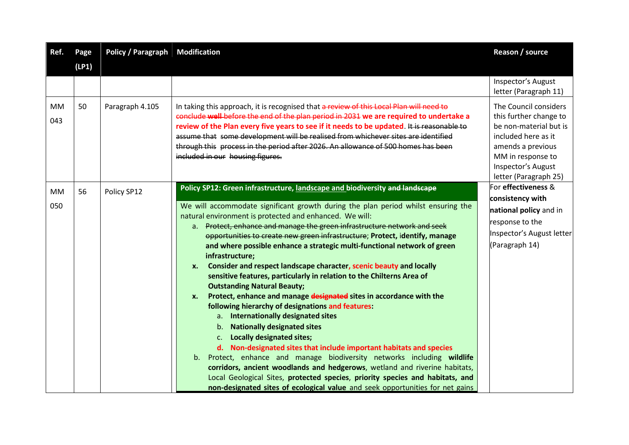| Ref.             | Page  | <b>Policy / Paragraph</b> | <b>Modification</b>                                                                                                                                                                                                                                                                                                                                                                                                                                                                                                                                                                                                                                                                                                                                                                                                                                                                                                                                                                                                                                                                                                                                                                                                                                                                                                                                          | Reason / source                                                                                                                                                                           |
|------------------|-------|---------------------------|--------------------------------------------------------------------------------------------------------------------------------------------------------------------------------------------------------------------------------------------------------------------------------------------------------------------------------------------------------------------------------------------------------------------------------------------------------------------------------------------------------------------------------------------------------------------------------------------------------------------------------------------------------------------------------------------------------------------------------------------------------------------------------------------------------------------------------------------------------------------------------------------------------------------------------------------------------------------------------------------------------------------------------------------------------------------------------------------------------------------------------------------------------------------------------------------------------------------------------------------------------------------------------------------------------------------------------------------------------------|-------------------------------------------------------------------------------------------------------------------------------------------------------------------------------------------|
|                  | (LP1) |                           |                                                                                                                                                                                                                                                                                                                                                                                                                                                                                                                                                                                                                                                                                                                                                                                                                                                                                                                                                                                                                                                                                                                                                                                                                                                                                                                                                              |                                                                                                                                                                                           |
|                  |       |                           |                                                                                                                                                                                                                                                                                                                                                                                                                                                                                                                                                                                                                                                                                                                                                                                                                                                                                                                                                                                                                                                                                                                                                                                                                                                                                                                                                              | Inspector's August<br>letter (Paragraph 11)                                                                                                                                               |
| MM<br>043        | 50    | Paragraph 4.105           | In taking this approach, it is recognised that a review of this Local Plan will need to<br>conclude well before the end of the plan period in 2031 we are required to undertake a<br>review of the Plan every five years to see if it needs to be updated. It is reasonable to<br>assume that some development will be realised from whichever sites are identified<br>through this process in the period after 2026. An allowance of 500 homes has been<br>included in our housing figures.                                                                                                                                                                                                                                                                                                                                                                                                                                                                                                                                                                                                                                                                                                                                                                                                                                                                 | The Council considers<br>this further change to<br>be non-material but is<br>included here as it<br>amends a previous<br>MM in response to<br>Inspector's August<br>letter (Paragraph 25) |
| <b>MM</b><br>050 | 56    | Policy SP12               | Policy SP12: Green infrastructure, landscape and biodiversity and landscape<br>We will accommodate significant growth during the plan period whilst ensuring the<br>natural environment is protected and enhanced. We will:<br>a. Protect, enhance and manage the green infrastructure network and seek<br>opportunities to create new green infrastructure; Protect, identify, manage<br>and where possible enhance a strategic multi-functional network of green<br>infrastructure;<br>Consider and respect landscape character, scenic beauty and locally<br>X.<br>sensitive features, particularly in relation to the Chilterns Area of<br><b>Outstanding Natural Beauty;</b><br>Protect, enhance and manage designated sites in accordance with the<br><b>x.</b><br>following hierarchy of designations and features:<br>Internationally designated sites<br>a.<br><b>Nationally designated sites</b><br>b.<br><b>Locally designated sites;</b><br>c.<br>d. Non-designated sites that include important habitats and species<br>b. Protect, enhance and manage biodiversity networks including wildlife<br>corridors, ancient woodlands and hedgerows, wetland and riverine habitats,<br>Local Geological Sites, protected species, priority species and habitats, and<br>non-designated sites of ecological value and seek opportunities for net gains | For effectiveness &<br>consistency with<br>national policy and in<br>response to the<br>Inspector's August letter<br>(Paragraph 14)                                                       |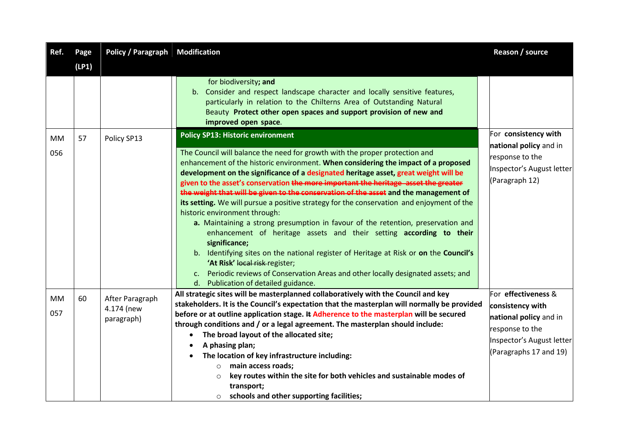| Ref.             | Page  | <b>Policy / Paragraph Modification</b>      |                                                                                                                                                                                                                                                                                                                                                                                                                                                                                                                                                                                                                                                                                                                                                                                                                                                                                                                                                                                                                           | Reason / source                                                                                                                                |
|------------------|-------|---------------------------------------------|---------------------------------------------------------------------------------------------------------------------------------------------------------------------------------------------------------------------------------------------------------------------------------------------------------------------------------------------------------------------------------------------------------------------------------------------------------------------------------------------------------------------------------------------------------------------------------------------------------------------------------------------------------------------------------------------------------------------------------------------------------------------------------------------------------------------------------------------------------------------------------------------------------------------------------------------------------------------------------------------------------------------------|------------------------------------------------------------------------------------------------------------------------------------------------|
|                  | (LP1) |                                             |                                                                                                                                                                                                                                                                                                                                                                                                                                                                                                                                                                                                                                                                                                                                                                                                                                                                                                                                                                                                                           |                                                                                                                                                |
|                  |       |                                             | for biodiversity; and<br>Consider and respect landscape character and locally sensitive features,<br>b.<br>particularly in relation to the Chilterns Area of Outstanding Natural<br>Beauty Protect other open spaces and support provision of new and<br>improved open space.                                                                                                                                                                                                                                                                                                                                                                                                                                                                                                                                                                                                                                                                                                                                             |                                                                                                                                                |
| <b>MM</b>        | 57    | Policy SP13                                 | <b>Policy SP13: Historic environment</b>                                                                                                                                                                                                                                                                                                                                                                                                                                                                                                                                                                                                                                                                                                                                                                                                                                                                                                                                                                                  | For consistency with                                                                                                                           |
| 056              |       |                                             | The Council will balance the need for growth with the proper protection and<br>enhancement of the historic environment. When considering the impact of a proposed<br>development on the significance of a designated heritage asset, great weight will be<br>given to the asset's conservation the more important the heritage asset the greater<br>the weight that will be given to the conservation of the asset and the management of<br>its setting. We will pursue a positive strategy for the conservation and enjoyment of the<br>historic environment through:<br>a. Maintaining a strong presumption in favour of the retention, preservation and<br>enhancement of heritage assets and their setting according to their<br>significance;<br>b. Identifying sites on the national register of Heritage at Risk or on the Council's<br>'At Risk' local risk-register;<br>Periodic reviews of Conservation Areas and other locally designated assets; and<br>$C_{\bullet}$<br>d. Publication of detailed guidance. | national policy and in<br>response to the<br>Inspector's August letter<br>(Paragraph 12)                                                       |
| <b>MM</b><br>057 | 60    | After Paragraph<br>4.174 (new<br>paragraph) | All strategic sites will be masterplanned collaboratively with the Council and key<br>stakeholders. It is the Council's expectation that the masterplan will normally be provided<br>before or at outline application stage. It Adherence to the masterplan will be secured<br>through conditions and / or a legal agreement. The masterplan should include:<br>The broad layout of the allocated site;<br>A phasing plan;<br>The location of key infrastructure including:<br>main access roads;<br>$\circ$<br>key routes within the site for both vehicles and sustainable modes of<br>$\circ$<br>transport;                                                                                                                                                                                                                                                                                                                                                                                                            | For effectiveness &<br>consistency with<br>national policy and in<br>response to the<br>Inspector's August letter<br>(Paragraphs 17 and $19$ ) |
|                  |       |                                             | schools and other supporting facilities;<br>$\circ$                                                                                                                                                                                                                                                                                                                                                                                                                                                                                                                                                                                                                                                                                                                                                                                                                                                                                                                                                                       |                                                                                                                                                |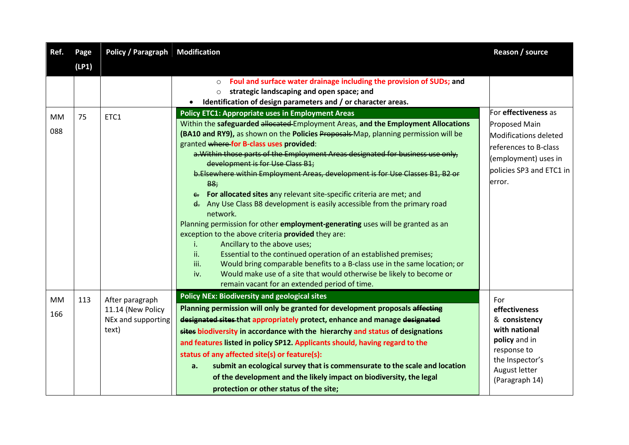| Ref.             | Page  | <b>Policy / Paragraph Modification</b>                              |                                                                                                                                                                                                                                                                                                                                                                                                                                                                                                                                                                                                                                                                                                                                                                                                                                                                                                                                                                                                                                                                                                                                                    | Reason / source                                                                                                                              |
|------------------|-------|---------------------------------------------------------------------|----------------------------------------------------------------------------------------------------------------------------------------------------------------------------------------------------------------------------------------------------------------------------------------------------------------------------------------------------------------------------------------------------------------------------------------------------------------------------------------------------------------------------------------------------------------------------------------------------------------------------------------------------------------------------------------------------------------------------------------------------------------------------------------------------------------------------------------------------------------------------------------------------------------------------------------------------------------------------------------------------------------------------------------------------------------------------------------------------------------------------------------------------|----------------------------------------------------------------------------------------------------------------------------------------------|
|                  | (LP1) |                                                                     |                                                                                                                                                                                                                                                                                                                                                                                                                                                                                                                                                                                                                                                                                                                                                                                                                                                                                                                                                                                                                                                                                                                                                    |                                                                                                                                              |
|                  |       |                                                                     | Foul and surface water drainage including the provision of SUDs; and<br>$\circ$<br>strategic landscaping and open space; and<br>$\circ$<br>Identification of design parameters and / or character areas.                                                                                                                                                                                                                                                                                                                                                                                                                                                                                                                                                                                                                                                                                                                                                                                                                                                                                                                                           | For effectiveness as                                                                                                                         |
| <b>MM</b><br>088 | 75    | ETC1                                                                | <b>Policy ETC1: Appropriate uses in Employment Areas</b><br>Within the safeguarded allocated Employment Areas, and the Employment Allocations<br>(BA10 and RY9), as shown on the Policies Proposals-Map, planning permission will be<br>granted where for B-class uses provided:<br>a. Within those parts of the Employment Areas designated for business use only,<br>development is for Use Class B1;<br>b.Elsewhere within Employment Areas, development is for Use Classes B1, B2 or<br>B8;<br>e. For allocated sites any relevant site-specific criteria are met; and<br>d. Any Use Class B8 development is easily accessible from the primary road<br>network.<br>Planning permission for other employment-generating uses will be granted as an<br>exception to the above criteria provided they are:<br>Ancillary to the above uses;<br>j.<br>ii.<br>Essential to the continued operation of an established premises;<br>iii.<br>Would bring comparable benefits to a B-class use in the same location; or<br>Would make use of a site that would otherwise be likely to become or<br>iv.<br>remain vacant for an extended period of time. | <b>Proposed Main</b><br>Modifications deleted<br>references to B-class<br>(employment) uses in<br>policies SP3 and ETC1 in<br>error.         |
| <b>MM</b><br>166 | 113   | After paragraph<br>11.14 (New Policy<br>NEx and supporting<br>text) | <b>Policy NEx: Biodiversity and geological sites</b><br>Planning permission will only be granted for development proposals affecting<br>designated sites that appropriately protect, enhance and manage designated<br>sites biodiversity in accordance with the hierarchy and status of designations<br>and features listed in policy SP12. Applicants should, having regard to the<br>status of any affected site(s) or feature(s):<br>submit an ecological survey that is commensurate to the scale and location<br>a.<br>of the development and the likely impact on biodiversity, the legal<br>protection or other status of the site;                                                                                                                                                                                                                                                                                                                                                                                                                                                                                                         | For<br>effectiveness<br>& consistency<br>with national<br>policy and in<br>response to<br>the Inspector's<br>August letter<br>(Paragraph 14) |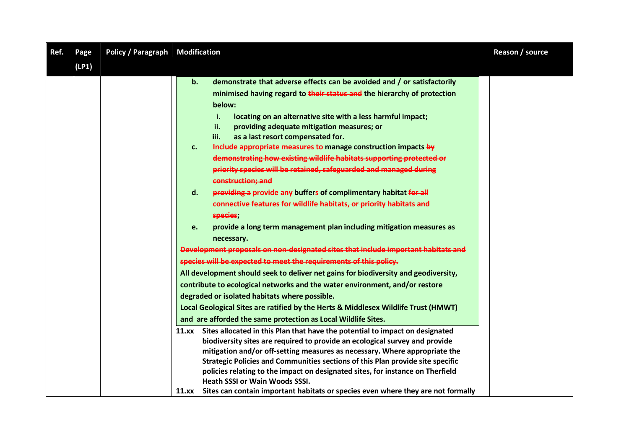| Ref. | Page  | <b>Policy / Paragraph</b> | <b>Modification</b>                                                                                                                                                                                                                                                                                                                                                                                                                                                                                                                                                                                                                                                                                                                                                                                                                                                                                                                                                                                                                                                                                                                                                                                                                                                                                                                                                                              | Reason / source |
|------|-------|---------------------------|--------------------------------------------------------------------------------------------------------------------------------------------------------------------------------------------------------------------------------------------------------------------------------------------------------------------------------------------------------------------------------------------------------------------------------------------------------------------------------------------------------------------------------------------------------------------------------------------------------------------------------------------------------------------------------------------------------------------------------------------------------------------------------------------------------------------------------------------------------------------------------------------------------------------------------------------------------------------------------------------------------------------------------------------------------------------------------------------------------------------------------------------------------------------------------------------------------------------------------------------------------------------------------------------------------------------------------------------------------------------------------------------------|-----------------|
|      | (LP1) |                           |                                                                                                                                                                                                                                                                                                                                                                                                                                                                                                                                                                                                                                                                                                                                                                                                                                                                                                                                                                                                                                                                                                                                                                                                                                                                                                                                                                                                  |                 |
|      |       |                           | demonstrate that adverse effects can be avoided and / or satisfactorily<br>b.<br>minimised having regard to their status and the hierarchy of protection<br>below:<br>locating on an alternative site with a less harmful impact;<br>i.<br>ii.<br>providing adequate mitigation measures; or<br>as a last resort compensated for.<br>iii.<br>Include appropriate measures to manage construction impacts by<br>c.<br>demonstrating how existing wildlife habitats supporting protected or<br>priority species will be retained, safeguarded and managed during<br>construction; and<br>providing a provide any buffers of complimentary habitat for all<br>$\mathsf{d}$ .<br>connective features for wildlife habitats, or priority habitats and<br>species;<br>provide a long term management plan including mitigation measures as<br>e.<br>necessary.<br>Development proposals on non-designated sites that include important habitats and<br>species will be expected to meet the requirements of this policy.<br>All development should seek to deliver net gains for biodiversity and geodiversity,<br>contribute to ecological networks and the water environment, and/or restore<br>degraded or isolated habitats where possible.<br>Local Geological Sites are ratified by the Herts & Middlesex Wildlife Trust (HMWT)<br>and are afforded the same protection as Local Wildlife Sites. |                 |
|      |       |                           | 11.xx Sites allocated in this Plan that have the potential to impact on designated<br>biodiversity sites are required to provide an ecological survey and provide<br>mitigation and/or off-setting measures as necessary. Where appropriate the<br>Strategic Policies and Communities sections of this Plan provide site specific<br>policies relating to the impact on designated sites, for instance on Therfield<br><b>Heath SSSI or Wain Woods SSSI.</b><br>Sites can contain important habitats or species even where they are not formally<br>11.xx                                                                                                                                                                                                                                                                                                                                                                                                                                                                                                                                                                                                                                                                                                                                                                                                                                        |                 |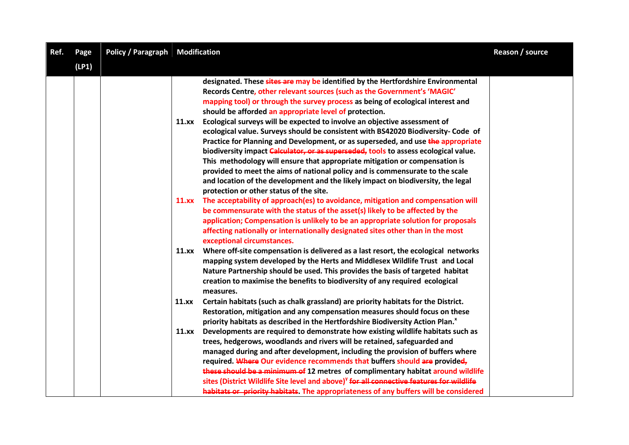| Ref. | Page  | <b>Policy / Paragraph Modification</b> |                                                                                                                                                                                                                                                                                                                                                                                                                                                                                                                                                                                                                                                                                                                                                                                                                                                                                                                     | Reason / source |
|------|-------|----------------------------------------|---------------------------------------------------------------------------------------------------------------------------------------------------------------------------------------------------------------------------------------------------------------------------------------------------------------------------------------------------------------------------------------------------------------------------------------------------------------------------------------------------------------------------------------------------------------------------------------------------------------------------------------------------------------------------------------------------------------------------------------------------------------------------------------------------------------------------------------------------------------------------------------------------------------------|-----------------|
|      | (LP1) |                                        |                                                                                                                                                                                                                                                                                                                                                                                                                                                                                                                                                                                                                                                                                                                                                                                                                                                                                                                     |                 |
|      |       |                                        | designated. These sites are may be identified by the Hertfordshire Environmental<br>Records Centre, other relevant sources (such as the Government's 'MAGIC'<br>mapping tool) or through the survey process as being of ecological interest and<br>should be afforded an appropriate level of protection.<br>Ecological surveys will be expected to involve an objective assessment of<br>11.xx<br>ecological value. Surveys should be consistent with BS42020 Biodiversity- Code of<br>Practice for Planning and Development, or as superseded, and use the appropriate<br>biodiversity impact Calculator, or as superseded, tools to assess ecological value.<br>This methodology will ensure that appropriate mitigation or compensation is<br>provided to meet the aims of national policy and is commensurate to the scale<br>and location of the development and the likely impact on biodiversity, the legal |                 |
|      |       |                                        | protection or other status of the site.<br>The acceptability of approach(es) to avoidance, mitigation and compensation will<br>11.xx<br>be commensurate with the status of the asset(s) likely to be affected by the<br>application; Compensation is unlikely to be an appropriate solution for proposals<br>affecting nationally or internationally designated sites other than in the most<br>exceptional circumstances.                                                                                                                                                                                                                                                                                                                                                                                                                                                                                          |                 |
|      |       |                                        | Where off-site compensation is delivered as a last resort, the ecological networks<br>11.xx<br>mapping system developed by the Herts and Middlesex Wildlife Trust and Local<br>Nature Partnership should be used. This provides the basis of targeted habitat<br>creation to maximise the benefits to biodiversity of any required ecological<br>measures.                                                                                                                                                                                                                                                                                                                                                                                                                                                                                                                                                          |                 |
|      |       |                                        | Certain habitats (such as chalk grassland) are priority habitats for the District.<br>11.xX<br>Restoration, mitigation and any compensation measures should focus on these<br>priority habitats as described in the Hertfordshire Biodiversity Action Plan. <sup>x</sup>                                                                                                                                                                                                                                                                                                                                                                                                                                                                                                                                                                                                                                            |                 |
|      |       |                                        | Developments are required to demonstrate how existing wildlife habitats such as<br>11.xx<br>trees, hedgerows, woodlands and rivers will be retained, safeguarded and<br>managed during and after development, including the provision of buffers where<br>required. Where Our evidence recommends that buffers should are provided,<br>these should be a minimum of 12 metres of complimentary habitat around wildlife<br>sites (District Wildlife Site level and above) <sup>y</sup> for all connective features for wildlife<br>habitats or priority habitats. The appropriateness of any buffers will be considered                                                                                                                                                                                                                                                                                              |                 |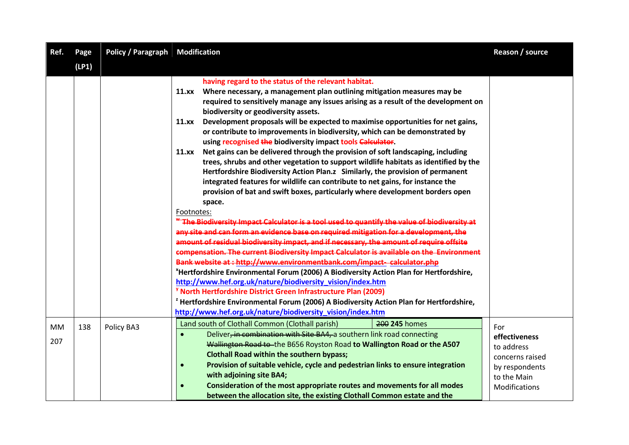| Ref.             | Page  | <b>Policy / Paragraph Modification</b> |                                                                                                                                                                                                                                                                                                                                                                                                                                                                                                                                                                                                                                                                                                                                                                                                                                                                                                                                                                                                                                                                                                                                                                                                                                                                                                                                                                                                                                                                                                                                                                                                                                                                                                                                                                                                                                                | Reason / source                                                                                         |
|------------------|-------|----------------------------------------|------------------------------------------------------------------------------------------------------------------------------------------------------------------------------------------------------------------------------------------------------------------------------------------------------------------------------------------------------------------------------------------------------------------------------------------------------------------------------------------------------------------------------------------------------------------------------------------------------------------------------------------------------------------------------------------------------------------------------------------------------------------------------------------------------------------------------------------------------------------------------------------------------------------------------------------------------------------------------------------------------------------------------------------------------------------------------------------------------------------------------------------------------------------------------------------------------------------------------------------------------------------------------------------------------------------------------------------------------------------------------------------------------------------------------------------------------------------------------------------------------------------------------------------------------------------------------------------------------------------------------------------------------------------------------------------------------------------------------------------------------------------------------------------------------------------------------------------------|---------------------------------------------------------------------------------------------------------|
|                  | (LP1) |                                        |                                                                                                                                                                                                                                                                                                                                                                                                                                                                                                                                                                                                                                                                                                                                                                                                                                                                                                                                                                                                                                                                                                                                                                                                                                                                                                                                                                                                                                                                                                                                                                                                                                                                                                                                                                                                                                                |                                                                                                         |
|                  |       |                                        | having regard to the status of the relevant habitat.<br>Where necessary, a management plan outlining mitigation measures may be<br>11.xx<br>required to sensitively manage any issues arising as a result of the development on<br>biodiversity or geodiversity assets.<br>Development proposals will be expected to maximise opportunities for net gains,<br>11.xx<br>or contribute to improvements in biodiversity, which can be demonstrated by<br>using recognised the biodiversity impact tools Calculator.<br>Net gains can be delivered through the provision of soft landscaping, including<br>11.xx<br>trees, shrubs and other vegetation to support wildlife habitats as identified by the<br>Hertfordshire Biodiversity Action Plan.z Similarly, the provision of permanent<br>integrated features for wildlife can contribute to net gains, for instance the<br>provision of bat and swift boxes, particularly where development borders open<br>space.<br>Footnotes:<br><b>"The Biodiversity Impact Calculator is a tool used to quantify the value of biodiversity at</b><br>any site and can form an evidence base on required mitigation for a development, the<br>amount of residual biodiversity impact, and if necessary, the amount of require offsite<br>compensation. The current Biodiversity Impact Calculator is available on the Environment<br>Bank website at: http://www.environmentbank.com/impact-calculator.php<br>*Hertfordshire Environmental Forum (2006) A Biodiversity Action Plan for Hertfordshire,<br>http://www.hef.org.uk/nature/biodiversity_vision/index.htm<br><sup>y</sup> North Hertfordshire District Green Infrastructure Plan (2009)<br>Hertfordshire Environmental Forum (2006) A Biodiversity Action Plan for Hertfordshire,<br>http://www.hef.org.uk/nature/biodiversity_vision/index.htm |                                                                                                         |
| <b>MM</b><br>207 | 138   | Policy BA3                             | 200 245 homes<br>Land south of Clothall Common (Clothall parish)<br>Deliver, in combination with Site BA4, a southern link road connecting<br>Wallington Road to the B656 Royston Road to Wallington Road or the A507<br><b>Clothall Road within the southern bypass;</b><br>Provision of suitable vehicle, cycle and pedestrian links to ensure integration<br>$\bullet$<br>with adjoining site BA4;<br>Consideration of the most appropriate routes and movements for all modes<br>between the allocation site, the existing Clothall Common estate and the                                                                                                                                                                                                                                                                                                                                                                                                                                                                                                                                                                                                                                                                                                                                                                                                                                                                                                                                                                                                                                                                                                                                                                                                                                                                                  | For<br>effectiveness<br>to address<br>concerns raised<br>by respondents<br>to the Main<br>Modifications |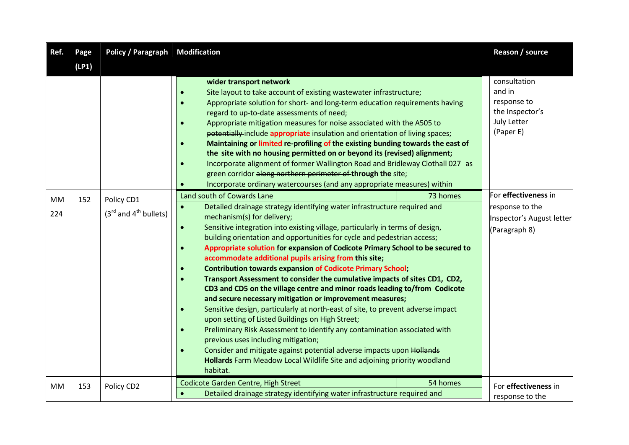| Ref.             | Page  | <b>Policy / Paragraph Modification</b>  |                                                                                                                                                                                                                                                                                                                                                                                                                                                                                                                                                                                                                                                                                                                                                                                                                                                                                                                                                                                                                                                                                                                                                                                                                                       |          | Reason / source                                                                       |
|------------------|-------|-----------------------------------------|---------------------------------------------------------------------------------------------------------------------------------------------------------------------------------------------------------------------------------------------------------------------------------------------------------------------------------------------------------------------------------------------------------------------------------------------------------------------------------------------------------------------------------------------------------------------------------------------------------------------------------------------------------------------------------------------------------------------------------------------------------------------------------------------------------------------------------------------------------------------------------------------------------------------------------------------------------------------------------------------------------------------------------------------------------------------------------------------------------------------------------------------------------------------------------------------------------------------------------------|----------|---------------------------------------------------------------------------------------|
|                  | (LP1) |                                         |                                                                                                                                                                                                                                                                                                                                                                                                                                                                                                                                                                                                                                                                                                                                                                                                                                                                                                                                                                                                                                                                                                                                                                                                                                       |          |                                                                                       |
|                  |       |                                         | wider transport network<br>Site layout to take account of existing wastewater infrastructure;<br>Appropriate solution for short- and long-term education requirements having<br>regard to up-to-date assessments of need;<br>Appropriate mitigation measures for noise associated with the A505 to<br>potentially include appropriate insulation and orientation of living spaces;<br>Maintaining or limited re-profiling of the existing bunding towards the east of<br>the site with no housing permitted on or beyond its (revised) alignment;<br>Incorporate alignment of former Wallington Road and Bridleway Clothall 027 as<br>green corridor along northern perimeter of through the site;<br>Incorporate ordinary watercourses (and any appropriate measures) within                                                                                                                                                                                                                                                                                                                                                                                                                                                         |          | consultation<br>and in<br>response to<br>the Inspector's<br>July Letter<br>(Paper E)  |
| <b>MM</b><br>224 | 152   | Policy CD1<br>$(3rd$ and $4th$ bullets) | Land south of Cowards Lane<br>Detailed drainage strategy identifying water infrastructure required and<br>$\bullet$<br>mechanism(s) for delivery;<br>Sensitive integration into existing village, particularly in terms of design,<br>$\bullet$<br>building orientation and opportunities for cycle and pedestrian access;<br>Appropriate solution for expansion of Codicote Primary School to be secured to<br>$\bullet$<br>accommodate additional pupils arising from this site;<br><b>Contribution towards expansion of Codicote Primary School;</b><br>Transport Assessment to consider the cumulative impacts of sites CD1, CD2,<br>CD3 and CD5 on the village centre and minor roads leading to/from Codicote<br>and secure necessary mitigation or improvement measures;<br>Sensitive design, particularly at north-east of site, to prevent adverse impact<br>$\bullet$<br>upon setting of Listed Buildings on High Street;<br>Preliminary Risk Assessment to identify any contamination associated with<br>$\bullet$<br>previous uses including mitigation;<br>Consider and mitigate against potential adverse impacts upon Hollands<br>Hollards Farm Meadow Local Wildlife Site and adjoining priority woodland<br>habitat. | 73 homes | For effectiveness in<br>response to the<br>Inspector's August letter<br>(Paragraph 8) |
| <b>MM</b>        | 153   | Policy CD2                              | Codicote Garden Centre, High Street<br>Detailed drainage strategy identifying water infrastructure required and                                                                                                                                                                                                                                                                                                                                                                                                                                                                                                                                                                                                                                                                                                                                                                                                                                                                                                                                                                                                                                                                                                                       | 54 homes | For effectiveness in<br>response to the                                               |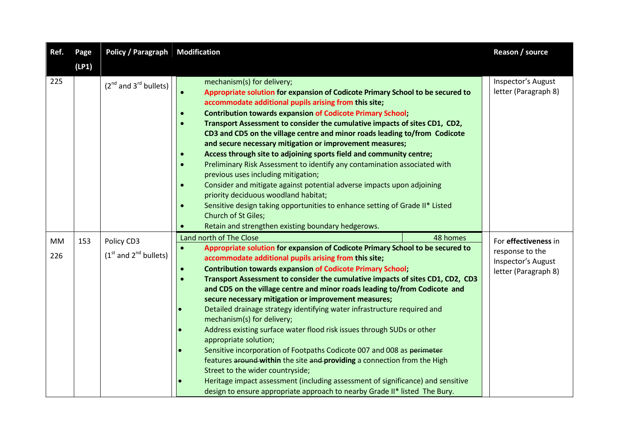| Ref.      | Page  | <b>Policy / Paragraph Modification</b> |                                                                                                                                                                                                                                                                                                                                                                                                                                                                                                                                                                                                                                                                                                                                                                                                                                                                                                                                                                                                                                                             | Reason / source                                               |
|-----------|-------|----------------------------------------|-------------------------------------------------------------------------------------------------------------------------------------------------------------------------------------------------------------------------------------------------------------------------------------------------------------------------------------------------------------------------------------------------------------------------------------------------------------------------------------------------------------------------------------------------------------------------------------------------------------------------------------------------------------------------------------------------------------------------------------------------------------------------------------------------------------------------------------------------------------------------------------------------------------------------------------------------------------------------------------------------------------------------------------------------------------|---------------------------------------------------------------|
|           | (LP1) |                                        |                                                                                                                                                                                                                                                                                                                                                                                                                                                                                                                                                                                                                                                                                                                                                                                                                                                                                                                                                                                                                                                             |                                                               |
| 225       |       | $(2^{nd}$ and $3^{rd}$ bullets)        | mechanism(s) for delivery;<br>Appropriate solution for expansion of Codicote Primary School to be secured to<br>$\bullet$<br>accommodate additional pupils arising from this site;<br><b>Contribution towards expansion of Codicote Primary School;</b><br>$\bullet$<br>Transport Assessment to consider the cumulative impacts of sites CD1, CD2,<br>$\bullet$<br>CD3 and CD5 on the village centre and minor roads leading to/from Codicote<br>and secure necessary mitigation or improvement measures;<br>Access through site to adjoining sports field and community centre;<br>$\bullet$<br>Preliminary Risk Assessment to identify any contamination associated with<br>$\bullet$<br>previous uses including mitigation;<br>Consider and mitigate against potential adverse impacts upon adjoining<br>$\bullet$<br>priority deciduous woodland habitat;<br>Sensitive design taking opportunities to enhance setting of Grade II* Listed<br>$\bullet$<br><b>Church of St Giles;</b><br>Retain and strengthen existing boundary hedgerows.<br>$\bullet$ | Inspector's August<br>letter (Paragraph 8)                    |
| <b>MM</b> | 153   | Policy CD3                             | Land north of The Close<br>48 homes                                                                                                                                                                                                                                                                                                                                                                                                                                                                                                                                                                                                                                                                                                                                                                                                                                                                                                                                                                                                                         | For effectiveness in                                          |
| 226       |       | $(1st$ and $2nd$ bullets)              | Appropriate solution for expansion of Codicote Primary School to be secured to<br>$\bullet$<br>accommodate additional pupils arising from this site;<br><b>Contribution towards expansion of Codicote Primary School;</b><br>$\bullet$<br>Transport Assessment to consider the cumulative impacts of sites CD1, CD2, CD3<br>$\bullet$<br>and CD5 on the village centre and minor roads leading to/from Codicote and<br>secure necessary mitigation or improvement measures;<br>Detailed drainage strategy identifying water infrastructure required and<br>mechanism(s) for delivery;<br>Address existing surface water flood risk issues through SUDs or other<br>appropriate solution;<br>Sensitive incorporation of Footpaths Codicote 007 and 008 as perimeter<br>features around within the site and providing a connection from the High<br>Street to the wider countryside;<br>Heritage impact assessment (including assessment of significance) and sensitive<br>design to ensure appropriate approach to nearby Grade II* listed The Bury.         | response to the<br>Inspector's August<br>letter (Paragraph 8) |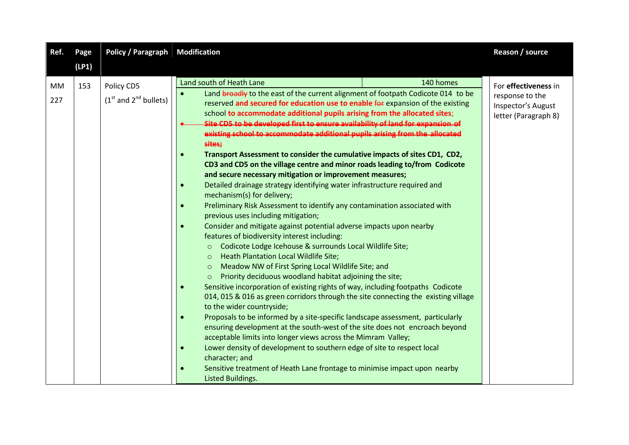| Ref.             | Page  | <b>Policy / Paragraph</b>               | <b>Modification</b>                                                                                                                                                                                                                                                                                                                                                                                                                                                                                                                                                                                                                                                                                                                                                                                                                                                                                                                                                                                                                                                                                                                                                                                                                                                                                                                                                                                                                                                                                                                                                                                                                                                                                                                                                                                                                                                                                                                                                                                                                                   | Reason / source                                                                       |
|------------------|-------|-----------------------------------------|-------------------------------------------------------------------------------------------------------------------------------------------------------------------------------------------------------------------------------------------------------------------------------------------------------------------------------------------------------------------------------------------------------------------------------------------------------------------------------------------------------------------------------------------------------------------------------------------------------------------------------------------------------------------------------------------------------------------------------------------------------------------------------------------------------------------------------------------------------------------------------------------------------------------------------------------------------------------------------------------------------------------------------------------------------------------------------------------------------------------------------------------------------------------------------------------------------------------------------------------------------------------------------------------------------------------------------------------------------------------------------------------------------------------------------------------------------------------------------------------------------------------------------------------------------------------------------------------------------------------------------------------------------------------------------------------------------------------------------------------------------------------------------------------------------------------------------------------------------------------------------------------------------------------------------------------------------------------------------------------------------------------------------------------------------|---------------------------------------------------------------------------------------|
|                  | (LP1) |                                         |                                                                                                                                                                                                                                                                                                                                                                                                                                                                                                                                                                                                                                                                                                                                                                                                                                                                                                                                                                                                                                                                                                                                                                                                                                                                                                                                                                                                                                                                                                                                                                                                                                                                                                                                                                                                                                                                                                                                                                                                                                                       |                                                                                       |
| <b>MM</b><br>227 | 153   | Policy CD5<br>$(1st$ and $2nd$ bullets) | Land south of Heath Lane<br>140 homes<br>Land broadly to the east of the current alignment of footpath Codicote 014 to be<br>reserved and secured for education use to enable for expansion of the existing<br>school to accommodate additional pupils arising from the allocated sites;<br>Site CD5 to be developed first to ensure availability of land for expansion of<br>existing school to accommodate additional pupils arising from the allocated<br>sites;<br>Transport Assessment to consider the cumulative impacts of sites CD1, CD2,<br>$\bullet$<br>CD3 and CD5 on the village centre and minor roads leading to/from Codicote<br>and secure necessary mitigation or improvement measures;<br>Detailed drainage strategy identifying water infrastructure required and<br>$\bullet$<br>mechanism(s) for delivery;<br>Preliminary Risk Assessment to identify any contamination associated with<br>$\bullet$<br>previous uses including mitigation;<br>Consider and mitigate against potential adverse impacts upon nearby<br>$\bullet$<br>features of biodiversity interest including:<br>Codicote Lodge Icehouse & surrounds Local Wildlife Site;<br>$\circ$<br>Heath Plantation Local Wildlife Site;<br>$\circ$<br>Meadow NW of First Spring Local Wildlife Site; and<br>$\circ$<br>Priority deciduous woodland habitat adjoining the site;<br>Sensitive incorporation of existing rights of way, including footpaths Codicote<br>$\bullet$<br>014, 015 & 016 as green corridors through the site connecting the existing village<br>to the wider countryside;<br>Proposals to be informed by a site-specific landscape assessment, particularly<br>$\bullet$<br>ensuring development at the south-west of the site does not encroach beyond<br>acceptable limits into longer views across the Mimram Valley;<br>Lower density of development to southern edge of site to respect local<br>$\bullet$<br>character; and<br>Sensitive treatment of Heath Lane frontage to minimise impact upon nearby<br>$\bullet$<br>Listed Buildings. | For effectiveness in<br>response to the<br>Inspector's August<br>letter (Paragraph 8) |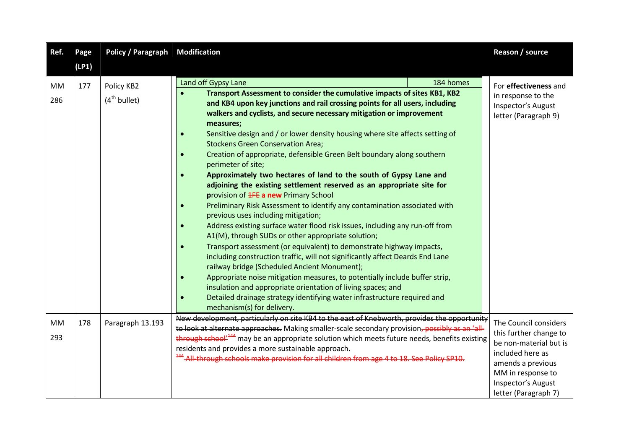| Ref.             | Page  | <b>Policy / Paragraph</b>       | <b>Modification</b>                                                                                                                                                                                                                                                                                                                                                                                                                                                                                                                                                                                                                                                                                                                                                                                                                                                                                                                                                                                                                                                                                                                                                                                                                                                                                                                                                                                                                                                                                                                  | Reason / source                                                                                                                                                                       |
|------------------|-------|---------------------------------|--------------------------------------------------------------------------------------------------------------------------------------------------------------------------------------------------------------------------------------------------------------------------------------------------------------------------------------------------------------------------------------------------------------------------------------------------------------------------------------------------------------------------------------------------------------------------------------------------------------------------------------------------------------------------------------------------------------------------------------------------------------------------------------------------------------------------------------------------------------------------------------------------------------------------------------------------------------------------------------------------------------------------------------------------------------------------------------------------------------------------------------------------------------------------------------------------------------------------------------------------------------------------------------------------------------------------------------------------------------------------------------------------------------------------------------------------------------------------------------------------------------------------------------|---------------------------------------------------------------------------------------------------------------------------------------------------------------------------------------|
|                  | (LP1) |                                 |                                                                                                                                                                                                                                                                                                                                                                                                                                                                                                                                                                                                                                                                                                                                                                                                                                                                                                                                                                                                                                                                                                                                                                                                                                                                                                                                                                                                                                                                                                                                      |                                                                                                                                                                                       |
| <b>MM</b><br>286 | 177   | Policy KB2<br>$(4^{th}$ bullet) | Land off Gypsy Lane<br>184 homes<br>Transport Assessment to consider the cumulative impacts of sites KB1, KB2<br>and KB4 upon key junctions and rail crossing points for all users, including<br>walkers and cyclists, and secure necessary mitigation or improvement<br>measures;<br>Sensitive design and / or lower density housing where site affects setting of<br>$\bullet$<br><b>Stockens Green Conservation Area;</b><br>Creation of appropriate, defensible Green Belt boundary along southern<br>$\bullet$<br>perimeter of site;<br>Approximately two hectares of land to the south of Gypsy Lane and<br>$\bullet$<br>adjoining the existing settlement reserved as an appropriate site for<br>provision of <b>1FE a new Primary School</b><br>Preliminary Risk Assessment to identify any contamination associated with<br>$\bullet$<br>previous uses including mitigation;<br>Address existing surface water flood risk issues, including any run-off from<br>$\bullet$<br>A1(M), through SUDs or other appropriate solution;<br>Transport assessment (or equivalent) to demonstrate highway impacts,<br>including construction traffic, will not significantly affect Deards End Lane<br>railway bridge (Scheduled Ancient Monument);<br>Appropriate noise mitigation measures, to potentially include buffer strip,<br>$\bullet$<br>insulation and appropriate orientation of living spaces; and<br>Detailed drainage strategy identifying water infrastructure required and<br>$\bullet$<br>mechanism(s) for delivery. | For effectiveness and<br>in response to the<br>Inspector's August<br>letter (Paragraph 9)                                                                                             |
| <b>MM</b><br>293 | 178   | Paragraph 13.193                | New development, particularly on site KB4 to the east of Knebworth, provides the opportunity<br>to look at alternate approaches. Making smaller-scale secondary provision, possibly as an 'all-<br>through school <sup>1444</sup> may be an appropriate solution which meets future needs, benefits existing<br>residents and provides a more sustainable approach.<br><sup>444</sup> -All-through schools make provision for all children from age 4 to 18. See Policy SP10.                                                                                                                                                                                                                                                                                                                                                                                                                                                                                                                                                                                                                                                                                                                                                                                                                                                                                                                                                                                                                                                        | The Council considers<br>this further change to<br>be non-material but is<br>included here as<br>amends a previous<br>MM in response to<br>Inspector's August<br>letter (Paragraph 7) |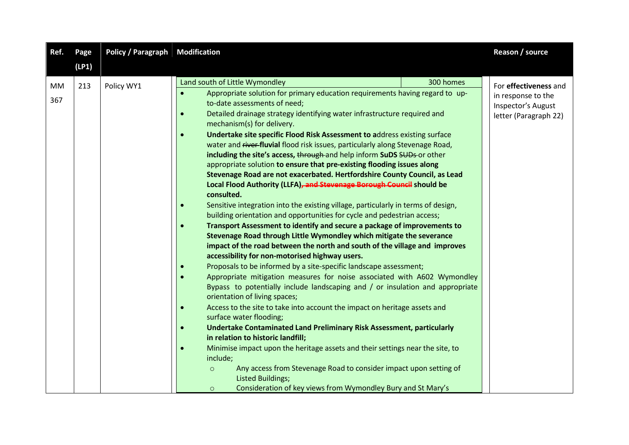| Ref.      | Page  | <b>Policy / Paragraph Modification</b> |                                                                                                                                                                                                                                                                                                                                                                                                                                                                                                                                                                                                                                                                                                                                                                                                                                                                                                                                                                                                                                                                                                                                                                                                                                                                                                                                                                                                                                                                                                                                                                                                                                                                                                                                                                                                                                                                                                                                                                                                         | Reason / source                                                                            |
|-----------|-------|----------------------------------------|---------------------------------------------------------------------------------------------------------------------------------------------------------------------------------------------------------------------------------------------------------------------------------------------------------------------------------------------------------------------------------------------------------------------------------------------------------------------------------------------------------------------------------------------------------------------------------------------------------------------------------------------------------------------------------------------------------------------------------------------------------------------------------------------------------------------------------------------------------------------------------------------------------------------------------------------------------------------------------------------------------------------------------------------------------------------------------------------------------------------------------------------------------------------------------------------------------------------------------------------------------------------------------------------------------------------------------------------------------------------------------------------------------------------------------------------------------------------------------------------------------------------------------------------------------------------------------------------------------------------------------------------------------------------------------------------------------------------------------------------------------------------------------------------------------------------------------------------------------------------------------------------------------------------------------------------------------------------------------------------------------|--------------------------------------------------------------------------------------------|
|           | (LP1) |                                        |                                                                                                                                                                                                                                                                                                                                                                                                                                                                                                                                                                                                                                                                                                                                                                                                                                                                                                                                                                                                                                                                                                                                                                                                                                                                                                                                                                                                                                                                                                                                                                                                                                                                                                                                                                                                                                                                                                                                                                                                         |                                                                                            |
| MM<br>367 | 213   | Policy WY1                             | Land south of Little Wymondley<br>300 homes<br>Appropriate solution for primary education requirements having regard to up-<br>$\bullet$<br>to-date assessments of need;<br>Detailed drainage strategy identifying water infrastructure required and<br>$\bullet$<br>mechanism(s) for delivery.<br>Undertake site specific Flood Risk Assessment to address existing surface<br>$\bullet$<br>water and river-fluvial flood risk issues, particularly along Stevenage Road,<br>including the site's access, through and help inform SuDS SUDs or other<br>appropriate solution to ensure that pre-existing flooding issues along<br>Stevenage Road are not exacerbated. Hertfordshire County Council, as Lead<br>Local Flood Authority (LLFA), and Stevenage Borough Council should be<br>consulted.<br>Sensitive integration into the existing village, particularly in terms of design,<br>$\bullet$<br>building orientation and opportunities for cycle and pedestrian access;<br>Transport Assessment to identify and secure a package of improvements to<br>Stevenage Road through Little Wymondley which mitigate the severance<br>impact of the road between the north and south of the village and improves<br>accessibility for non-motorised highway users.<br>Proposals to be informed by a site-specific landscape assessment;<br>Appropriate mitigation measures for noise associated with A602 Wymondley<br>Bypass to potentially include landscaping and / or insulation and appropriate<br>orientation of living spaces;<br>Access to the site to take into account the impact on heritage assets and<br>$\bullet$<br>surface water flooding;<br><b>Undertake Contaminated Land Preliminary Risk Assessment, particularly</b><br>in relation to historic landfill;<br>Minimise impact upon the heritage assets and their settings near the site, to<br>$\bullet$<br>include;<br>Any access from Stevenage Road to consider impact upon setting of<br>$\circ$<br><b>Listed Buildings;</b> | For effectiveness and<br>in response to the<br>Inspector's August<br>letter (Paragraph 22) |
|           |       |                                        | Consideration of key views from Wymondley Bury and St Mary's<br>$\circ$                                                                                                                                                                                                                                                                                                                                                                                                                                                                                                                                                                                                                                                                                                                                                                                                                                                                                                                                                                                                                                                                                                                                                                                                                                                                                                                                                                                                                                                                                                                                                                                                                                                                                                                                                                                                                                                                                                                                 |                                                                                            |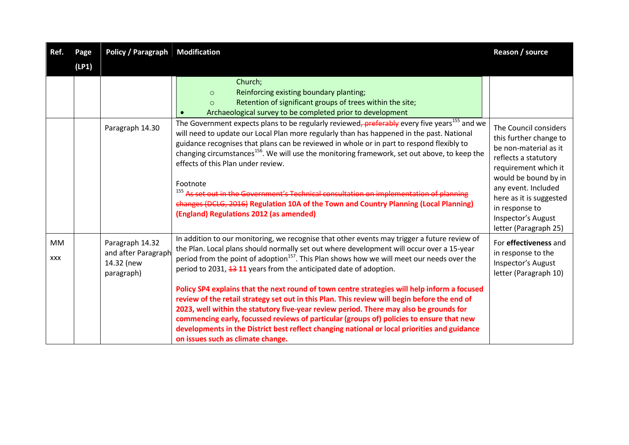| Ref.      | Page  | <b>Policy / Paragraph</b>                                          | <b>Modification</b>                                                                                                                                                                                                                                                                                                                                                                                                                                                                                                                                                                                                                                                                                        | Reason / source                                                                                                                                                                                                                                                     |
|-----------|-------|--------------------------------------------------------------------|------------------------------------------------------------------------------------------------------------------------------------------------------------------------------------------------------------------------------------------------------------------------------------------------------------------------------------------------------------------------------------------------------------------------------------------------------------------------------------------------------------------------------------------------------------------------------------------------------------------------------------------------------------------------------------------------------------|---------------------------------------------------------------------------------------------------------------------------------------------------------------------------------------------------------------------------------------------------------------------|
|           | (LP1) |                                                                    |                                                                                                                                                                                                                                                                                                                                                                                                                                                                                                                                                                                                                                                                                                            |                                                                                                                                                                                                                                                                     |
|           |       |                                                                    | Church;<br>Reinforcing existing boundary planting;<br>$\circ$<br>Retention of significant groups of trees within the site;<br>$\Omega$<br>Archaeological survey to be completed prior to development                                                                                                                                                                                                                                                                                                                                                                                                                                                                                                       |                                                                                                                                                                                                                                                                     |
|           |       | Paragraph 14.30                                                    | The Government expects plans to be regularly reviewed, preferably every five years <sup>155</sup> and we<br>will need to update our Local Plan more regularly than has happened in the past. National<br>guidance recognises that plans can be reviewed in whole or in part to respond flexibly to<br>changing circumstances <sup>156</sup> . We will use the monitoring framework, set out above, to keep the<br>effects of this Plan under review.<br>Footnote<br><sup>155</sup> As set out in the Government's Technical consultation on implementation of planning<br>changes (DCLG, 2016) Regulation 10A of the Town and Country Planning (Local Planning)<br>(England) Regulations 2012 (as amended) | The Council considers<br>this further change to<br>be non-material as it<br>reflects a statutory<br>requirement which it<br>would be bound by in<br>any event. Included<br>here as it is suggested<br>in response to<br>Inspector's August<br>letter (Paragraph 25) |
| MM<br>XXX |       | Paragraph 14.32<br>and after Paragraph<br>14.32 (new<br>paragraph) | In addition to our monitoring, we recognise that other events may trigger a future review of<br>the Plan. Local plans should normally set out where development will occur over a 15-year<br>period from the point of adoption <sup>157</sup> . This Plan shows how we will meet our needs over the<br>period to 2031, 13 11 years from the anticipated date of adoption.<br>Policy SP4 explains that the next round of town centre strategies will help inform a focused                                                                                                                                                                                                                                  | For effectiveness and<br>in response to the<br>Inspector's August<br>letter (Paragraph 10)                                                                                                                                                                          |
|           |       |                                                                    | review of the retail strategy set out in this Plan. This review will begin before the end of<br>2023, well within the statutory five-year review period. There may also be grounds for<br>commencing early, focussed reviews of particular (groups of) policies to ensure that new<br>developments in the District best reflect changing national or local priorities and guidance<br>on issues such as climate change.                                                                                                                                                                                                                                                                                    |                                                                                                                                                                                                                                                                     |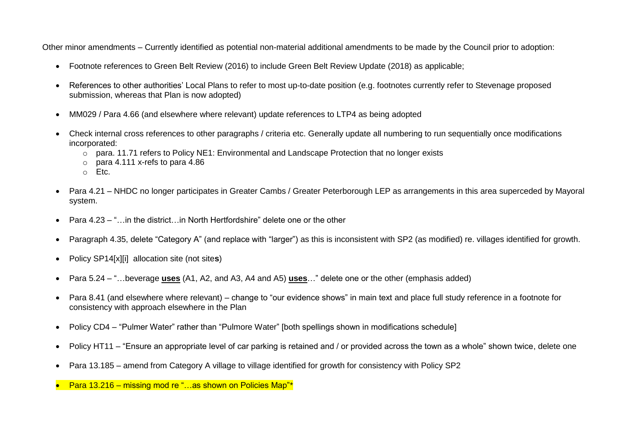Other minor amendments – Currently identified as potential non-material additional amendments to be made by the Council prior to adoption:

- Footnote references to Green Belt Review (2016) to include Green Belt Review Update (2018) as applicable;
- References to other authorities' Local Plans to refer to most up-to-date position (e.g. footnotes currently refer to Stevenage proposed submission, whereas that Plan is now adopted)
- MM029 / Para 4.66 (and elsewhere where relevant) update references to LTP4 as being adopted
- Check internal cross references to other paragraphs / criteria etc. Generally update all numbering to run sequentially once modifications incorporated:
	- $\circ$  para. 11.71 refers to Policy NE1: Environmental and Landscape Protection that no longer exists
	- $\circ$  para 4.111 x-refs to para 4.86
	- o Etc.
- Para 4.21 NHDC no longer participates in Greater Cambs / Greater Peterborough LEP as arrangements in this area superceded by Mayoral system.
- Para 4.23 "…in the district…in North Hertfordshire" delete one or the other
- Paragraph 4.35, delete "Category A" (and replace with "larger") as this is inconsistent with SP2 (as modified) re. villages identified for growth.
- Policy SP14[x][i] allocation site (not site**s**)
- Para 5.24 "…beverage **uses** (A1, A2, and A3, A4 and A5) **uses**…" delete one or the other (emphasis added)
- Para 8.41 (and elsewhere where relevant) change to "our evidence shows" in main text and place full study reference in a footnote for consistency with approach elsewhere in the Plan
- Policy CD4 "Pulmer Water" rather than "Pulmore Water" [both spellings shown in modifications schedule]
- Policy HT11 "Ensure an appropriate level of car parking is retained and / or provided across the town as a whole" shown twice, delete one
- Para 13.185 amend from Category A village to village identified for growth for consistency with Policy SP2
- Para 13.216 missing mod re "…as shown on Policies Map"\*